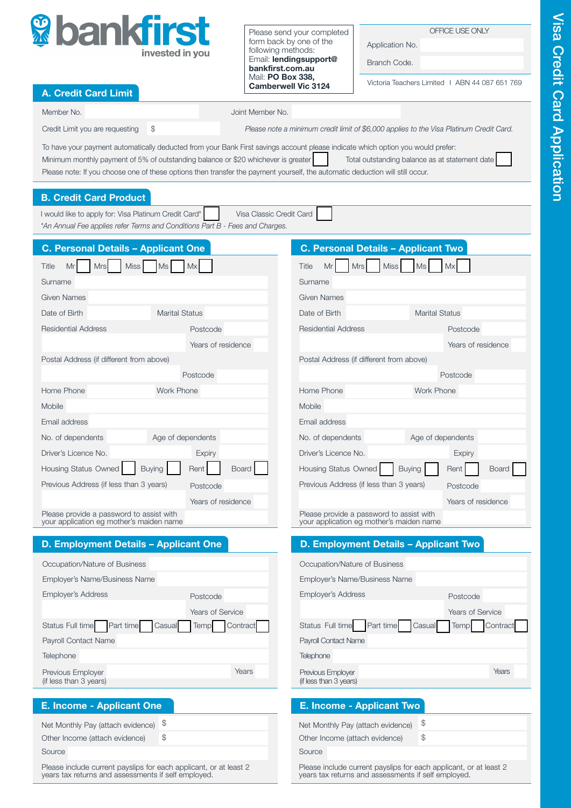

Please send your completed form back by one of the following methods: Email: lendingsupport@ bankfirst.com.au Mail: PO Box 338, Camberwell Vic 3124

OFFICE USE ONLY

Application No. Branch Code.

Victoria Teachers Limited I ABN 44 087 651 769

| <b>A. Credit Card Limit</b>                                                                                                   | Camberwell VIC 3124                                                                                                             |
|-------------------------------------------------------------------------------------------------------------------------------|---------------------------------------------------------------------------------------------------------------------------------|
| Member No.                                                                                                                    | Joint Member No.                                                                                                                |
| \$<br>Credit Limit you are requesting                                                                                         | Please note a minimum credit limit of \$6,000 applies to the Visa Platinum Credit Card.                                         |
|                                                                                                                               | To have your payment automatically deducted from your Bank First savings account please indicate which option you would prefer: |
| Minimum monthly payment of 5% of outstanding balance or \$20 whichever is greater                                             | Total outstanding balance as at statement date                                                                                  |
| Please note: If you choose one of these options then transfer the payment yourself, the automatic deduction will still occur. |                                                                                                                                 |
| <b>B. Credit Card Product</b>                                                                                                 |                                                                                                                                 |
| I would like to apply for: Visa Platinum Credit Card*                                                                         | Visa Classic Credit Card                                                                                                        |
| *An Annual Fee applies refer Terms and Conditions Part B - Fees and Charges.                                                  |                                                                                                                                 |
| <b>C. Personal Details - Applicant One</b>                                                                                    | <b>C. Personal Details - Applicant Two</b>                                                                                      |
| <b>Miss</b><br>Mr<br>Mx<br>Title<br>Mrs<br>Ms                                                                                 | Miss<br>Title<br>Mr<br>Mx<br><b>Mrs</b><br>Ms                                                                                   |
| Surname                                                                                                                       | Surname                                                                                                                         |
| <b>Given Names</b>                                                                                                            | <b>Given Names</b>                                                                                                              |
| Date of Birth<br><b>Marital Status</b>                                                                                        | Date of Birth<br><b>Marital Status</b>                                                                                          |
| <b>Residential Address</b><br>Postcode                                                                                        | <b>Residential Address</b><br>Postcode                                                                                          |
| Years of residence                                                                                                            | Years of residence                                                                                                              |
| Postal Address (if different from above)                                                                                      | Postal Address (if different from above)                                                                                        |
| Postcode                                                                                                                      | Postcode                                                                                                                        |
| Home Phone<br>Work Phone                                                                                                      | <b>Work Phone</b><br>Home Phone                                                                                                 |
| Mobile                                                                                                                        | Mobile                                                                                                                          |
| Email address                                                                                                                 | Email address                                                                                                                   |
| Age of dependents<br>No. of dependents                                                                                        | Age of dependents<br>No. of dependents                                                                                          |
| Driver's Licence No.<br>Expiry                                                                                                | Driver's Licence No.<br>Expiry                                                                                                  |
| Housing Status Owned<br><b>Buying</b><br>Rent                                                                                 | Board<br>Housing Status Owned<br>Rent  <br><b>Buying</b><br><b>Board</b>                                                        |
| Previous Address (if less than 3 years)<br>Postcode                                                                           | Previous Address (if less than 3 years)<br>Postcode                                                                             |
| Years of residence                                                                                                            | Years of residence                                                                                                              |
| Please provide a password to assist with<br>your application eg mother's maiden name                                          | Please provide a password to assist with<br>your application eg mother's maiden name                                            |
| D. Employment Details - Applicant One                                                                                         | D. Employment Details - Applicant Two                                                                                           |
|                                                                                                                               |                                                                                                                                 |
| Occupation/Nature of Business<br>Employer's Name/Business Name                                                                | Occupation/Nature of Business<br>Employer's Name/Business Name                                                                  |
| Employer's Address<br>Postcode                                                                                                | <b>Employer's Address</b><br>Postcode                                                                                           |
| Years of Service                                                                                                              | <b>Years of Service</b>                                                                                                         |
| Status Full time<br>Part time<br>Casual<br><b>Temp</b>                                                                        | Contract<br>Status Full time<br>Part time<br>Casual<br>Temp<br>Contract                                                         |
| Payroll Contact Name                                                                                                          | Payroll Contact Name                                                                                                            |
| Telephone                                                                                                                     | <b>Telephone</b>                                                                                                                |
| Previous Employer                                                                                                             | Years<br>Years<br>Previous Employer                                                                                             |
| (if less than 3 years)                                                                                                        | (if less than 3 years)                                                                                                          |
| <b>E. Income - Applicant One</b>                                                                                              | E. Income - Applicant Two                                                                                                       |
| \$<br>Net Monthly Pay (attach evidence)                                                                                       | \$<br>Net Monthly Pay (attach evidence)                                                                                         |
| \$<br>Other Income (attach evidence)                                                                                          | \$<br>Other Income (attach evidence)                                                                                            |
| Source                                                                                                                        | Source                                                                                                                          |
| Please include current payslips for each applicant, or at least 2<br>years tax returns and assessments if self employed.      | Please include current payslips for each applicant, or at least 2<br>years tax returns and assessments if self employed.        |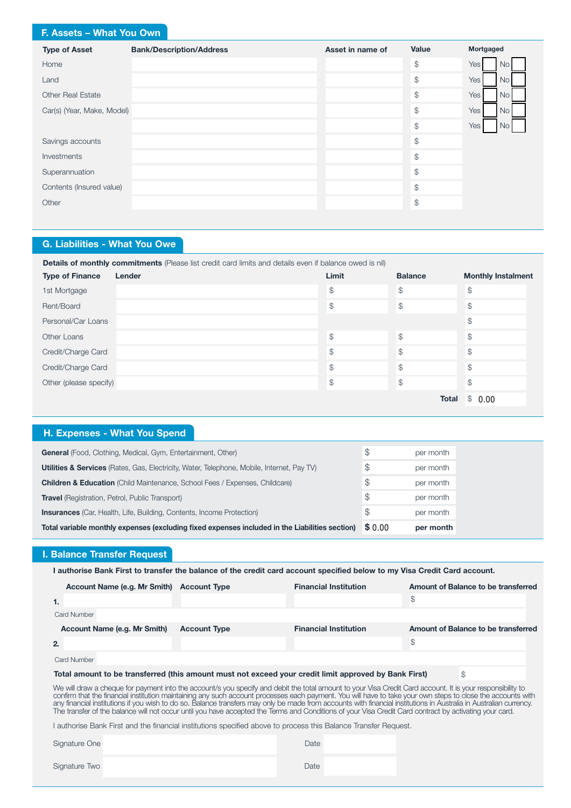# F. Assets – What You Own

| <b>Type of Asset</b>       | <b>Bank/Description/Address</b> | Asset in name of | Value                 | Mortgaged                |
|----------------------------|---------------------------------|------------------|-----------------------|--------------------------|
| Home                       |                                 |                  | $\, \, \mathbb{S} \,$ | Yes<br>No                |
| Land                       |                                 |                  | $\mathcal{L}$         | Yes<br>No <sub>1</sub>   |
| <b>Other Real Estate</b>   |                                 |                  | $\, \, \mathbb{S} \,$ | Yes  <br><b>No</b>       |
| Car(s) (Year, Make, Model) |                                 |                  | $\frac{1}{2}$         | Yes  <br>No <sub>l</sub> |
|                            |                                 |                  | $\frac{1}{2}$         | Yes<br>No.               |
| Savings accounts           |                                 |                  | $\mathcal{S}$         |                          |
| Investments                |                                 |                  | $\mathcal{L}$         |                          |
| Superannuation             |                                 |                  | $\frac{1}{2}$         |                          |
| Contents (Insured value)   |                                 |                  | $\mathcal{L}$         |                          |
| Other                      |                                 |                  | $\frac{1}{2}$         |                          |
|                            |                                 |                  |                       |                          |

# G. Liabilities - What You Owe

| Details of monthly commitments (Please list credit card limits and details even if balance owed is nil) |        |                |                |                           |  |
|---------------------------------------------------------------------------------------------------------|--------|----------------|----------------|---------------------------|--|
| <b>Type of Finance</b>                                                                                  | Lender | Limit          | <b>Balance</b> | <b>Monthly Instalment</b> |  |
| 1st Mortgage                                                                                            |        | $\mathcal{L}$  | $\mathcal{L}$  | \$                        |  |
| Rent/Board                                                                                              |        | $$\mathbb{S}$$ | $\mathcal{L}$  | \$                        |  |
| Personal/Car Loans                                                                                      |        |                |                | \$                        |  |
| Other Loans                                                                                             |        | $\mathcal{P}$  | $\mathcal{L}$  | $\mathcal{L}$             |  |
| Credit/Charge Card                                                                                      |        | $$\mathbb{S}$$ | \$             | \$                        |  |
| Credit/Charge Card                                                                                      |        | $$\mathbb{S}$$ | $\mathcal{L}$  | $\mathcal{L}$             |  |
| Other (please specify)                                                                                  |        | \$             | $\mathcal{L}$  | \$                        |  |
|                                                                                                         |        |                | <b>Total</b>   | \$0.00                    |  |

# H. Expenses - What You Spend

| \$<br>per month<br>S<br>per month<br>S<br><b>Insurances</b> (Car, Health, Life, Building, Contents, Income Protection)<br>per month |
|-------------------------------------------------------------------------------------------------------------------------------------|
| <b>Travel</b> (Registration, Petrol, Public Transport)                                                                              |
| <b>Children &amp; Education</b> (Child Maintenance, School Fees / Expenses, Childcare)                                              |
|                                                                                                                                     |
| $\mathcal{F}$<br>Utilities & Services (Rates, Gas, Electricity, Water, Telephone, Mobile, Internet, Pay TV)<br>per month            |
| $\mathcal{E}$<br>General (Food, Clothing, Medical, Gym, Entertainment, Other)<br>per month                                          |

# I. Balance Transfer Request

I authorise Bank First to transfer the balance of the credit card account specified below to my Visa Credit Card account.

|                                                                                                                                                                                                                                                                                                                           | Account Name (e.g. Mr Smith) | <b>Account Type</b> | <b>Financial Institution</b>                                                                          |    | Amount of Balance to be transferred |
|---------------------------------------------------------------------------------------------------------------------------------------------------------------------------------------------------------------------------------------------------------------------------------------------------------------------------|------------------------------|---------------------|-------------------------------------------------------------------------------------------------------|----|-------------------------------------|
| 1.                                                                                                                                                                                                                                                                                                                        |                              |                     |                                                                                                       | \$ |                                     |
|                                                                                                                                                                                                                                                                                                                           | Card Number                  |                     |                                                                                                       |    |                                     |
|                                                                                                                                                                                                                                                                                                                           | Account Name (e.g. Mr Smith) | <b>Account Type</b> | <b>Financial Institution</b>                                                                          |    | Amount of Balance to be transferred |
| 2.                                                                                                                                                                                                                                                                                                                        |                              |                     |                                                                                                       | \$ |                                     |
|                                                                                                                                                                                                                                                                                                                           | Card Number                  |                     |                                                                                                       |    |                                     |
|                                                                                                                                                                                                                                                                                                                           |                              |                     | Total amount to be transferred (this amount must not exceed your credit limit approved by Bank First) |    | S                                   |
| We will draw a cheque for payment into the account/s you specify and debit the total amount to your Visa Credit Card account. It is your responsibility to<br>confirm that the financial institution maintaining any such account processes each payment. You will have to take your own steps to close the accounts with |                              |                     |                                                                                                       |    |                                     |

any financial institutions if you wish to do so. Balance transfers may only be made from accounts with financial institutions in Australia in Australian currency. The transfer of the balance will not occur until you have accepted the Terms and Conditions of your Visa Credit Card contract by activating your card.

I authorise Bank First and the financial institutions specified above to process this Balance Transfer Request.

Signature One Date Date Date Date

Signature Two **Date**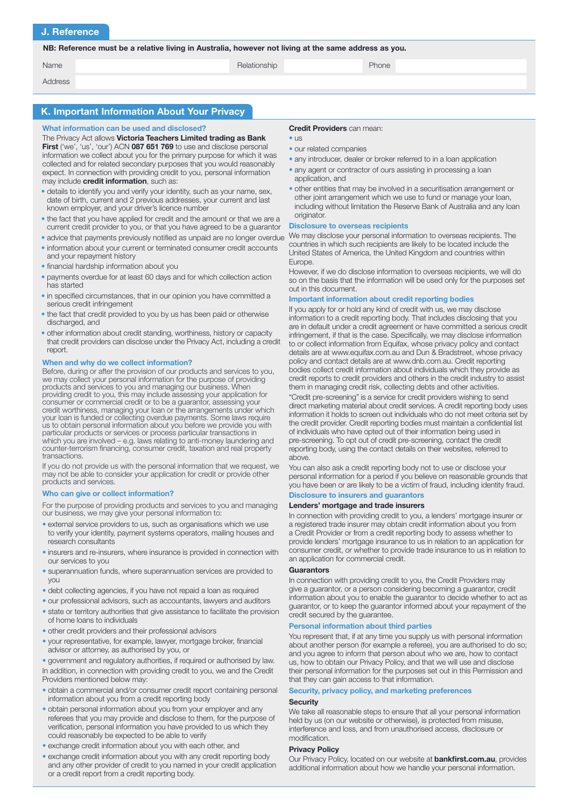## J. Reference

NB: Reference must be a relative living in Australia, however not living at the same address as you.

| Name | Relationship | Phone |
|------|--------------|-------|
|      |              |       |

Address

## K. Important Information About Your Privacy

#### What information can be used and disclosed? Credit Providers can mean:

The Privacy Act allows Victoria Teachers Limited trading as Bank First ('we', 'us', 'our') ACN 087 651 769 to use and disclose personal information we collect about you for the primary purpose for which it was collected and for related secondary purposes that you would reasonably expect. In connection with providing credit to you, personal information may include **credit information**, such as:

- details to identify you and verify your identity, such as your name, sex, date of birth, current and 2 previous addresses, your current and last known employer, and your driver's licence number
- the fact that you have applied for credit and the amount or that we are a current credit provider to you, or that you have agreed to be a guarantor
- advice that payments previously notified as unpaid are no longer overdue
- information about your current or terminated consumer credit accounts and your repayment history
- financial hardship information about you
- payments overdue for at least 60 days and for which collection action has started
- in specified circumstances, that in our opinion you have committed a serious credit infringement
- the fact that credit provided to you by us has been paid or otherwise discharged, and
- other information about credit standing, worthiness, history or capacity that credit providers can disclose under the Privacy Act, including a credit report.

#### When and why do we collect information?

Before, during or after the provision of our products and services to you, we may collect your personal information for the purpose of providing products and services to you and managing our business. When providing credit to you, this may include assessing your application for consumer or commercial credit or to be a guarantor, assessing your credit worthiness, managing your loan or the arrangements under which your loan is funded or collecting overdue payments. Some laws require us to obtain personal information about you before we provide you with particular products or services or process particular transactions in which you are involved - e.g. laws relating to anti-money laundering and counter-terrorism financing, consumer credit, taxation and real property transactions.

If you do not provide us with the personal information that we request, we may not be able to consider your application for credit or provide other products and services.

#### Who can give or collect information?

For the purpose of providing products and services to you and managing our business, we may give your personal information to:

- external service providers to us, such as organisations which we use to verify your identity, payment systems operators, mailing houses and research consultants
- insurers and re-insurers, where insurance is provided in connection with our services to you
- $\bullet$  superannuation funds, where superannuation services are provided to you
- debt collecting agencies, if you have not repaid a loan as required
- our professional advisors, such as accountants, lawyers and auditors
- state or territory authorities that give assistance to facilitate the provision of home loans to individuals
- other credit providers and their professional advisors
- your representative, for example, lawyer, mortgage broker, financial advisor or attorney, as authorised by you, or

In addition, in connection with providing credit to you, we and the Credit Providers mentioned below may: • government and regulatory authorities, if required or authorised by law.

- obtain a commercial and/or consumer credit report containing personal information about you from a credit reporting body
- · obtain personal information about you from your employer and any referees that you may provide and disclose to them, for the purpose of verification, personal information you have provided to us which they could reasonably be expected to be able to verify
- exchange credit information about you with each other, and
- exchange credit information about you with any credit reporting body and any other provider of credit to you named in your credit application or a credit report from a credit reporting body.

- $\bullet$   $\overline{18}$
- our related companies
- any introducer, dealer or broker referred to in a loan application
- any agent or contractor of ours assisting in processing a loan application, and
- other entities that may be involved in a securitisation arrangement or other joint arrangement which we use to fund or manage your loan, including without limitation the Reserve Bank of Australia and any loan originator.

#### Disclosure to overseas recipients

We may disclose your personal information to overseas recipients. The countries in which such recipients are likely to be located include the United States of America, the United Kingdom and countries within Europe.

However, if we do disclose information to overseas recipients, we will do so on the basis that the information will be used only for the purposes set out in this document.

## Important information about credit reporting bodies

If you apply for or hold any kind of credit with us, we may disclose information to a credit reporting body. That includes disclosing that you are in default under a credit agreement or have committed a serious credit infringement, if that is the case. Specifically, we may disclose information to or collect information from Equifax, whose privacy policy and contact details are at www.equifax.com.au and Dun & Bradstreet, whose privacy policy and contact details are at www.dnb.com.au. Credit reporting bodies collect credit information about individuals which they provide as credit reports to credit providers and others in the credit industry to assist them in managing credit risk, collecting debts and other activities

"Credit pre-screening" is a service for credit providers wishing to send direct marketing material about credit services. A credit reporting body uses information it holds to screen out individuals who do not meet criteria set by the credit provider. Credit reporting bodies must maintain a confidential list of individuals who have opted out of their information being used in pre-screening. To opt out of credit pre-screening, contact the credit reporting body, using the contact details on their websites, referred to above.

You can also ask a credit reporting body not to use or disclose your personal information for a period if you believe on reasonable grounds that you have been or are likely to be a victim of fraud, including identity fraud.

## Disclosure to insurers and guarantors

#### Lenders' mortgage and trade insurers

In connection with providing credit to you, a lenders' mortgage insurer or a registered trade insurer may obtain credit information about you from a Credit Provider or from a credit reporting body to assess whether to provide lenders' mortgage insurance to us in relation to an application for consumer credit, or whether to provide trade insurance to us in relation to an application for commercial credit.

#### **Guarantors**

In connection with providing credit to you, the Credit Providers may give a guarantor, or a person considering becoming a guarantor, credit information about you to enable the guarantor to decide whether to act as guarantor, or to keep the guarantor informed about your repayment of the credit secured by the guarantee.

#### Personal information about third parties

You represent that, if at any time you supply us with personal information about another person (for example a referee), you are authorised to do so; and you agree to inform that person about who we are, how to contact us, how to obtain our Privacy Policy, and that we will use and disclose their personal information for the purposes set out in this Permission and that they can gain access to that information.

### Security, privacy policy, and marketing preferences

#### **Security**

We take all reasonable steps to ensure that all your personal information held by us (on our website or otherwise), is protected from misuse, interference and loss, and from unauthorised access, disclosure or modification.

## Privacy Policy

Our Privacy Policy, located on our website at **bankfirst.com.au**, provides additional information about how we handle your personal information.